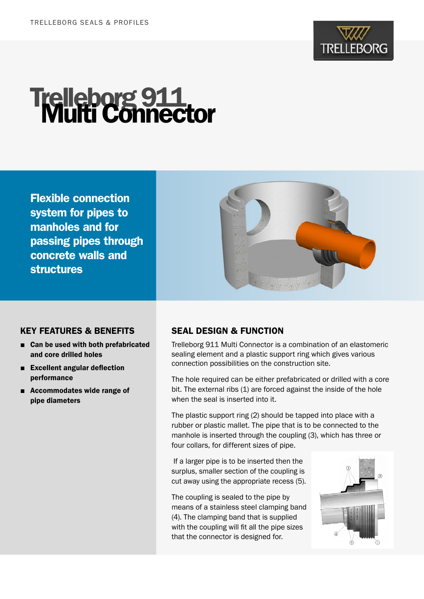

# **Trelleborg 911**<br>Multi Connector

Flexible connection system for pipes to manholes and for passing pipes through concrete walls and structures



### KEY FEATURES & BENEFITS

- Can be used with both prefabricated and core drilled holes
- Excellent angular deflection performance
- Accommodates wide range of pipe diameters

## SEAL DESIGN & FUNCTION

Trelleborg 911 Multi Connector is a combination of an elastomeric sealing element and a plastic support ring which gives various connection possibilities on the construction site.

The hole required can be either prefabricated or drilled with a core bit. The external ribs (1) are forced against the inside of the hole when the seal is inserted into it.

The plastic support ring (2) should be tapped into place with a rubber or plastic mallet. The pipe that is to be connected to the manhole is inserted through the coupling (3), which has three or four collars, for different sizes of pipe.

 If a larger pipe is to be inserted then the surplus, smaller section of the coupling is cut away using the appropriate recess (5).

The coupling is sealed to the pipe by means of a stainless steel clamping band (4). The clamping band that is supplied with the coupling will fit all the pipe sizes that the connector is designed for.